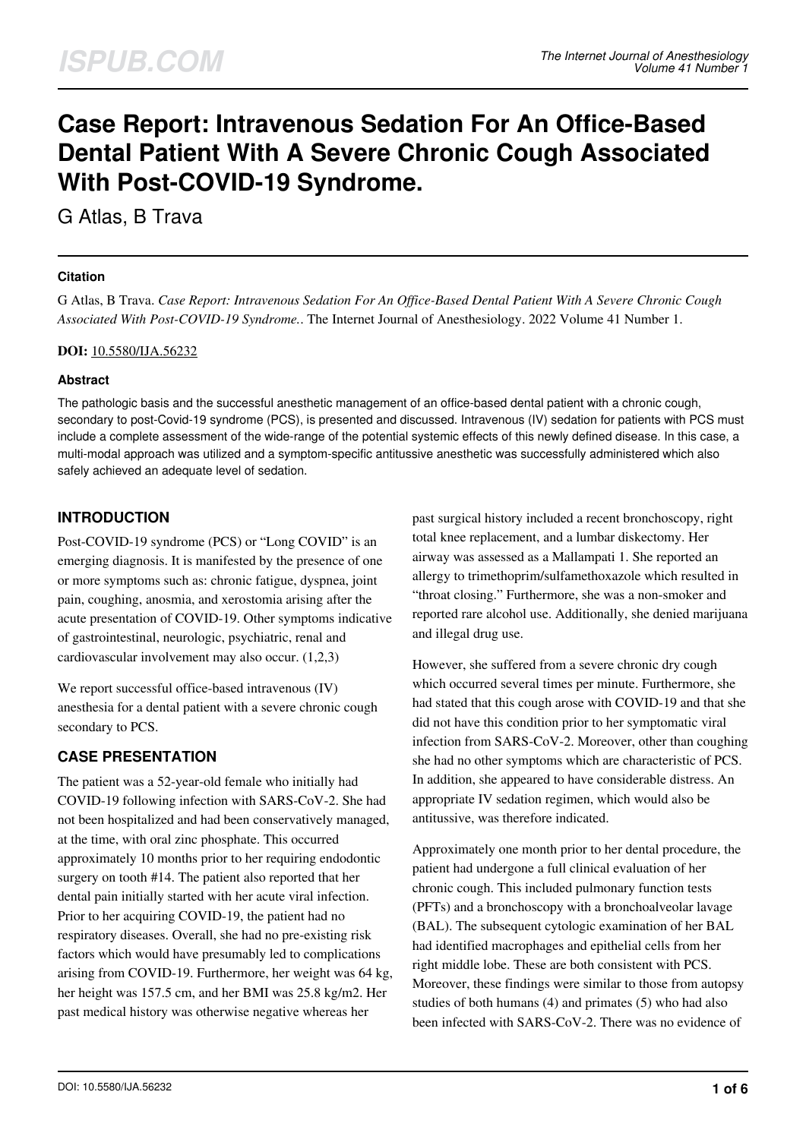# **Case Report: Intravenous Sedation For An Office-Based Dental Patient With A Severe Chronic Cough Associated With Post-COVID-19 Syndrome.**

G Atlas, B Trava

## **Citation**

G Atlas, B Trava. *Case Report: Intravenous Sedation For An Office-Based Dental Patient With A Severe Chronic Cough Associated With Post-COVID-19 Syndrome.*. The Internet Journal of Anesthesiology. 2022 Volume 41 Number 1.

#### **DOI:** [10.5580/IJA.56232](https://ispub.com/doi/10.5580/IJA.56232)

### **Abstract**

The pathologic basis and the successful anesthetic management of an office-based dental patient with a chronic cough, secondary to post-Covid-19 syndrome (PCS), is presented and discussed. Intravenous (IV) sedation for patients with PCS must include a complete assessment of the wide-range of the potential systemic effects of this newly defined disease. In this case, a multi-modal approach was utilized and a symptom-specific antitussive anesthetic was successfully administered which also safely achieved an adequate level of sedation.

# **INTRODUCTION**

Post-COVID-19 syndrome (PCS) or "Long COVID" is an emerging diagnosis. It is manifested by the presence of one or more symptoms such as: chronic fatigue, dyspnea, joint pain, coughing, anosmia, and xerostomia arising after the acute presentation of COVID-19. Other symptoms indicative of gastrointestinal, neurologic, psychiatric, renal and cardiovascular involvement may also occur. (1,2,3)

We report successful office-based intravenous (IV) anesthesia for a dental patient with a severe chronic cough secondary to PCS.

# **CASE PRESENTATION**

The patient was a 52-year-old female who initially had COVID-19 following infection with SARS-CoV-2. She had not been hospitalized and had been conservatively managed, at the time, with oral zinc phosphate. This occurred approximately 10 months prior to her requiring endodontic surgery on tooth #14. The patient also reported that her dental pain initially started with her acute viral infection. Prior to her acquiring COVID-19, the patient had no respiratory diseases. Overall, she had no pre-existing risk factors which would have presumably led to complications arising from COVID-19. Furthermore, her weight was 64 kg, her height was 157.5 cm, and her BMI was 25.8 kg/m2. Her past medical history was otherwise negative whereas her

past surgical history included a recent bronchoscopy, right total knee replacement, and a lumbar diskectomy. Her airway was assessed as a Mallampati 1. She reported an allergy to trimethoprim/sulfamethoxazole which resulted in "throat closing." Furthermore, she was a non-smoker and reported rare alcohol use. Additionally, she denied marijuana and illegal drug use.

However, she suffered from a severe chronic dry cough which occurred several times per minute. Furthermore, she had stated that this cough arose with COVID-19 and that she did not have this condition prior to her symptomatic viral infection from SARS-CoV-2. Moreover, other than coughing she had no other symptoms which are characteristic of PCS. In addition, she appeared to have considerable distress. An appropriate IV sedation regimen, which would also be antitussive, was therefore indicated.

Approximately one month prior to her dental procedure, the patient had undergone a full clinical evaluation of her chronic cough. This included pulmonary function tests (PFTs) and a bronchoscopy with a bronchoalveolar lavage (BAL). The subsequent cytologic examination of her BAL had identified macrophages and epithelial cells from her right middle lobe. These are both consistent with PCS. Moreover, these findings were similar to those from autopsy studies of both humans (4) and primates (5) who had also been infected with SARS-CoV-2. There was no evidence of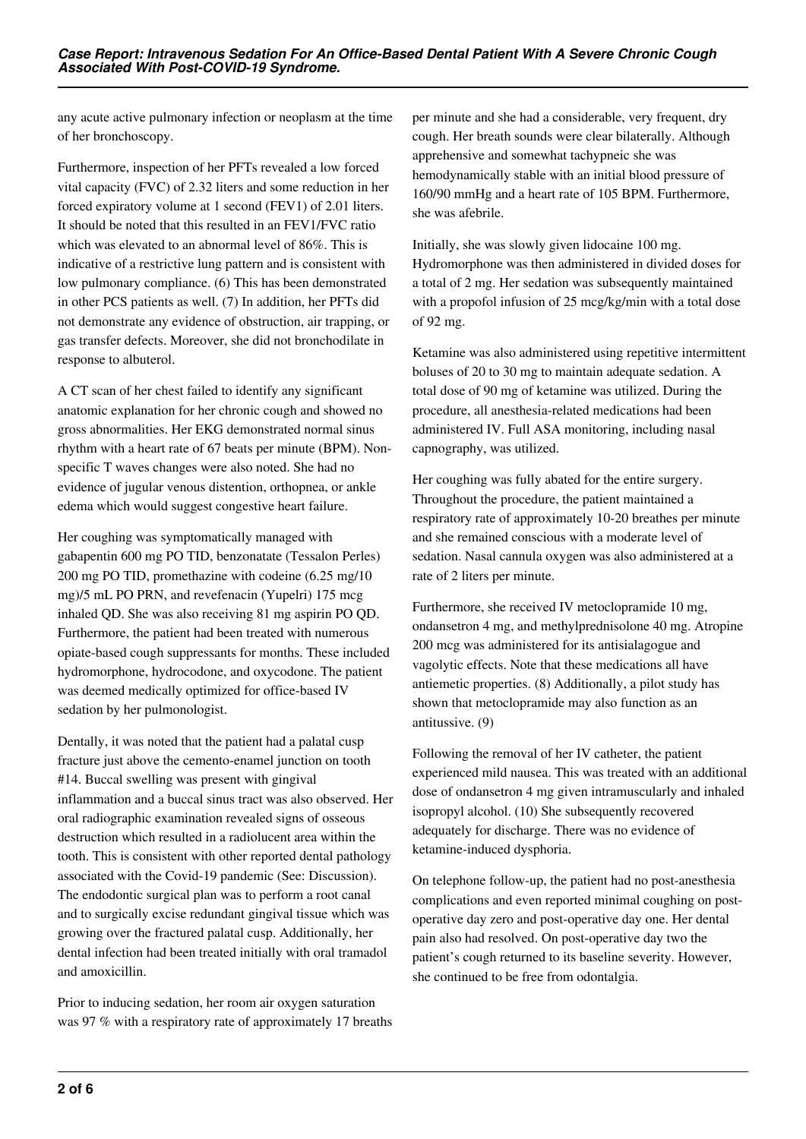any acute active pulmonary infection or neoplasm at the time of her bronchoscopy.

Furthermore, inspection of her PFTs revealed a low forced vital capacity (FVC) of 2.32 liters and some reduction in her forced expiratory volume at 1 second (FEV1) of 2.01 liters. It should be noted that this resulted in an FEV1/FVC ratio which was elevated to an abnormal level of 86%. This is indicative of a restrictive lung pattern and is consistent with low pulmonary compliance. (6) This has been demonstrated in other PCS patients as well. (7) In addition, her PFTs did not demonstrate any evidence of obstruction, air trapping, or gas transfer defects. Moreover, she did not bronchodilate in response to albuterol.

A CT scan of her chest failed to identify any significant anatomic explanation for her chronic cough and showed no gross abnormalities. Her EKG demonstrated normal sinus rhythm with a heart rate of 67 beats per minute (BPM). Nonspecific T waves changes were also noted. She had no evidence of jugular venous distention, orthopnea, or ankle edema which would suggest congestive heart failure.

Her coughing was symptomatically managed with gabapentin 600 mg PO TID, benzonatate (Tessalon Perles) 200 mg PO TID, promethazine with codeine (6.25 mg/10 mg)/5 mL PO PRN, and revefenacin (Yupelri) 175 mcg inhaled QD. She was also receiving 81 mg aspirin PO QD. Furthermore, the patient had been treated with numerous opiate-based cough suppressants for months. These included hydromorphone, hydrocodone, and oxycodone. The patient was deemed medically optimized for office-based IV sedation by her pulmonologist.

Dentally, it was noted that the patient had a palatal cusp fracture just above the cemento-enamel junction on tooth #14. Buccal swelling was present with gingival inflammation and a buccal sinus tract was also observed. Her oral radiographic examination revealed signs of osseous destruction which resulted in a radiolucent area within the tooth. This is consistent with other reported dental pathology associated with the Covid-19 pandemic (See: Discussion). The endodontic surgical plan was to perform a root canal and to surgically excise redundant gingival tissue which was growing over the fractured palatal cusp. Additionally, her dental infection had been treated initially with oral tramadol and amoxicillin.

Prior to inducing sedation, her room air oxygen saturation was 97 % with a respiratory rate of approximately 17 breaths per minute and she had a considerable, very frequent, dry cough. Her breath sounds were clear bilaterally. Although apprehensive and somewhat tachypneic she was hemodynamically stable with an initial blood pressure of 160/90 mmHg and a heart rate of 105 BPM. Furthermore, she was afebrile.

Initially, she was slowly given lidocaine 100 mg. Hydromorphone was then administered in divided doses for a total of 2 mg. Her sedation was subsequently maintained with a propofol infusion of 25 mcg/kg/min with a total dose of 92 mg.

Ketamine was also administered using repetitive intermittent boluses of 20 to 30 mg to maintain adequate sedation. A total dose of 90 mg of ketamine was utilized. During the procedure, all anesthesia-related medications had been administered IV. Full ASA monitoring, including nasal capnography, was utilized.

Her coughing was fully abated for the entire surgery. Throughout the procedure, the patient maintained a respiratory rate of approximately 10-20 breathes per minute and she remained conscious with a moderate level of sedation. Nasal cannula oxygen was also administered at a rate of 2 liters per minute.

Furthermore, she received IV metoclopramide 10 mg, ondansetron 4 mg, and methylprednisolone 40 mg. Atropine 200 mcg was administered for its antisialagogue and vagolytic effects. Note that these medications all have antiemetic properties. (8) Additionally, a pilot study has shown that metoclopramide may also function as an antitussive. (9)

Following the removal of her IV catheter, the patient experienced mild nausea. This was treated with an additional dose of ondansetron 4 mg given intramuscularly and inhaled isopropyl alcohol. (10) She subsequently recovered adequately for discharge. There was no evidence of ketamine-induced dysphoria.

On telephone follow-up, the patient had no post-anesthesia complications and even reported minimal coughing on postoperative day zero and post-operative day one. Her dental pain also had resolved. On post-operative day two the patient's cough returned to its baseline severity. However, she continued to be free from odontalgia.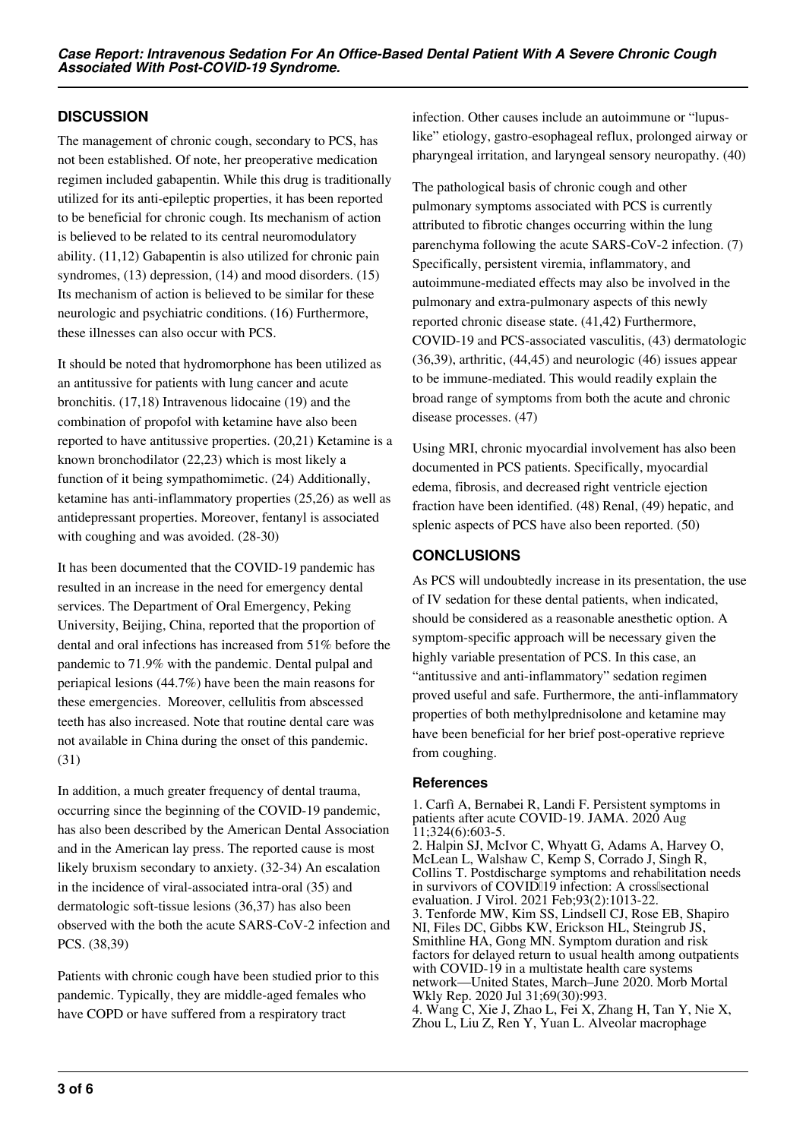# **DISCUSSION**

The management of chronic cough, secondary to PCS, has not been established. Of note, her preoperative medication regimen included gabapentin. While this drug is traditionally utilized for its anti-epileptic properties, it has been reported to be beneficial for chronic cough. Its mechanism of action is believed to be related to its central neuromodulatory ability. (11,12) Gabapentin is also utilized for chronic pain syndromes, (13) depression, (14) and mood disorders. (15) Its mechanism of action is believed to be similar for these neurologic and psychiatric conditions. (16) Furthermore, these illnesses can also occur with PCS.

It should be noted that hydromorphone has been utilized as an antitussive for patients with lung cancer and acute bronchitis. (17,18) Intravenous lidocaine (19) and the combination of propofol with ketamine have also been reported to have antitussive properties. (20,21) Ketamine is a known bronchodilator (22,23) which is most likely a function of it being sympathomimetic. (24) Additionally, ketamine has anti-inflammatory properties (25,26) as well as antidepressant properties. Moreover, fentanyl is associated with coughing and was avoided. (28-30)

It has been documented that the COVID-19 pandemic has resulted in an increase in the need for emergency dental services. The Department of Oral Emergency, Peking University, Beijing, China, reported that the proportion of dental and oral infections has increased from 51% before the pandemic to 71.9% with the pandemic. Dental pulpal and periapical lesions (44.7%) have been the main reasons for these emergencies. Moreover, cellulitis from abscessed teeth has also increased. Note that routine dental care was not available in China during the onset of this pandemic. (31)

In addition, a much greater frequency of dental trauma, occurring since the beginning of the COVID-19 pandemic, has also been described by the American Dental Association and in the American lay press. The reported cause is most likely bruxism secondary to anxiety. (32-34) An escalation in the incidence of viral-associated intra-oral (35) and dermatologic soft-tissue lesions (36,37) has also been observed with the both the acute SARS-CoV-2 infection and PCS. (38,39)

Patients with chronic cough have been studied prior to this pandemic. Typically, they are middle-aged females who have COPD or have suffered from a respiratory tract

infection. Other causes include an autoimmune or "lupuslike" etiology, gastro-esophageal reflux, prolonged airway or pharyngeal irritation, and laryngeal sensory neuropathy. (40)

The pathological basis of chronic cough and other pulmonary symptoms associated with PCS is currently attributed to fibrotic changes occurring within the lung parenchyma following the acute SARS-CoV-2 infection. (7) Specifically, persistent viremia, inflammatory, and autoimmune-mediated effects may also be involved in the pulmonary and extra-pulmonary aspects of this newly reported chronic disease state. (41,42) Furthermore, COVID-19 and PCS-associated vasculitis, (43) dermatologic (36,39), arthritic, (44,45) and neurologic (46) issues appear to be immune-mediated. This would readily explain the broad range of symptoms from both the acute and chronic disease processes. (47)

Using MRI, chronic myocardial involvement has also been documented in PCS patients. Specifically, myocardial edema, fibrosis, and decreased right ventricle ejection fraction have been identified. (48) Renal, (49) hepatic, and splenic aspects of PCS have also been reported. (50)

## **CONCLUSIONS**

As PCS will undoubtedly increase in its presentation, the use of IV sedation for these dental patients, when indicated, should be considered as a reasonable anesthetic option. A symptom-specific approach will be necessary given the highly variable presentation of PCS. In this case, an "antitussive and anti-inflammatory" sedation regimen proved useful and safe. Furthermore, the anti-inflammatory properties of both methylprednisolone and ketamine may have been beneficial for her brief post-operative reprieve from coughing.

## **References**

1. Carfì A, Bernabei R, Landi F. Persistent symptoms in patients after acute COVID-19. JAMA. 2020 Aug 11;324(6):603-5. 2. Halpin SJ, McIvor C, Whyatt G, Adams A, Harvey O, McLean L, Walshaw C, Kemp S, Corrado J, Singh R, Collins T. Postdischarge symptoms and rehabilitation needs in survivors of COVID[19 infection: A cross[sectional] evaluation. J Virol. 2021 Feb;93(2):1013-22. 3. Tenforde MW, Kim SS, Lindsell CJ, Rose EB, Shapiro NI, Files DC, Gibbs KW, Erickson HL, Steingrub JS, Smithline HA, Gong MN. Symptom duration and risk factors for delayed return to usual health among outpatients with COVID-19 in a multistate health care systems network—United States, March–June 2020. Morb Mortal Wkly Rep. 2020 Jul 31;69(30):993. 4. Wang C, Xie J, Zhao L, Fei X, Zhang H, Tan Y, Nie X, Zhou L, Liu Z, Ren Y, Yuan L. Alveolar macrophage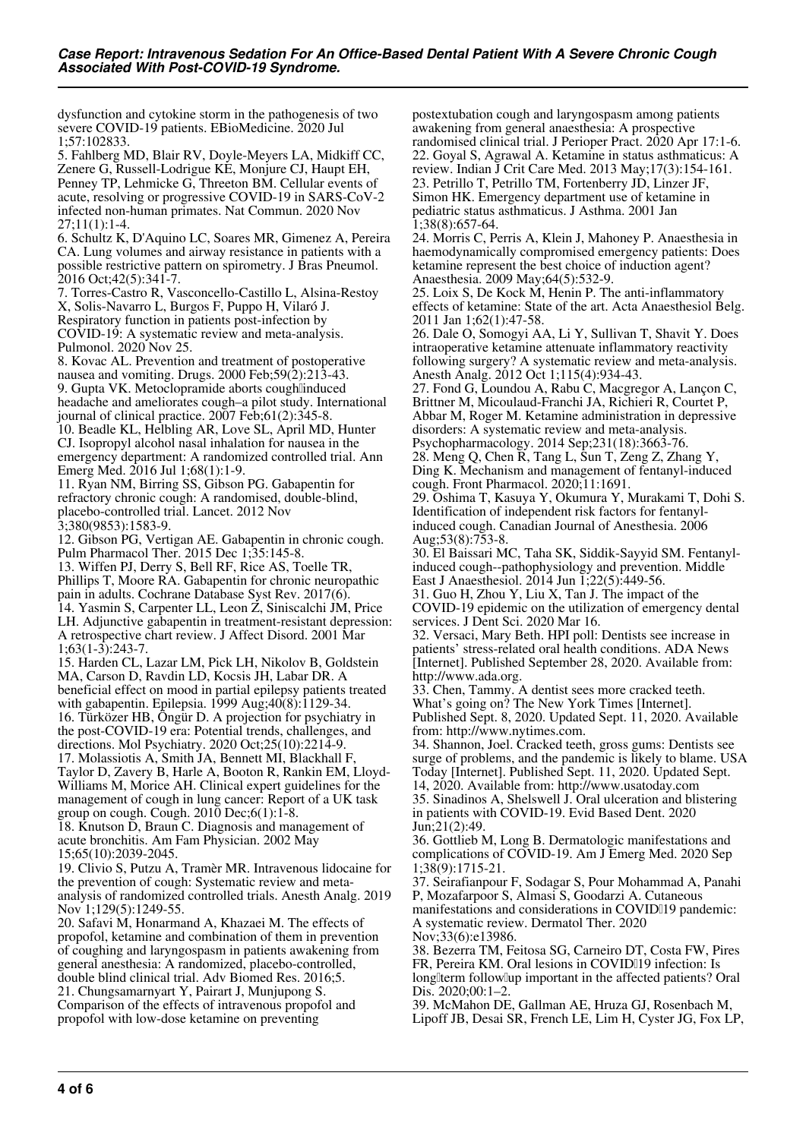dysfunction and cytokine storm in the pathogenesis of two severe COVID-19 patients. EBioMedicine. 2020 Jul 1;57:102833.

5. Fahlberg MD, Blair RV, Doyle-Meyers LA, Midkiff CC, Zenere G, Russell-Lodrigue KE, Monjure CJ, Haupt EH, Penney TP, Lehmicke G, Threeton BM. Cellular events of acute, resolving or progressive COVID-19 in SARS-CoV-2 infected non-human primates. Nat Commun. 2020 Nov 27;11(1):1-4.

6. Schultz K, D'Aquino LC, Soares MR, Gimenez A, Pereira CA. Lung volumes and airway resistance in patients with a possible restrictive pattern on spirometry. J Bras Pneumol. 2016 Oct;42(5):341-7.

7. Torres-Castro R, Vasconcello-Castillo L, Alsina-Restoy X, Solis-Navarro L, Burgos F, Puppo H, Vilaró J. Respiratory function in patients post-infection by COVID-19: A systematic review and meta-analysis. Pulmonol. 2020 Nov 25.

8. Kovac AL. Prevention and treatment of postoperative nausea and vomiting. Drugs. 2000 Feb;59(2):213-43. 9. Gupta VK. Metoclopramide aborts coughlinduced headache and ameliorates cough–a pilot study. International journal of clinical practice. 2007 Feb;61(2):345-8. 10. Beadle KL, Helbling AR, Love SL, April MD, Hunter CJ. Isopropyl alcohol nasal inhalation for nausea in the emergency department: A randomized controlled trial. Ann Emerg Med. 2016 Jul 1;68(1):1-9.

11. Ryan NM, Birring SS, Gibson PG. Gabapentin for refractory chronic cough: A randomised, double-blind, placebo-controlled trial. Lancet. 2012 Nov 3;380(9853):1583-9.

12. Gibson PG, Vertigan AE. Gabapentin in chronic cough. Pulm Pharmacol Ther. 2015 Dec 1;35:145-8.

13. Wiffen PJ, Derry S, Bell RF, Rice AS, Toelle TR, Phillips T, Moore RA. Gabapentin for chronic neuropathic pain in adults. Cochrane Database Syst Rev. 2017(6). 14. Yasmin S, Carpenter LL, Leon Z, Siniscalchi JM, Price LH. Adjunctive gabapentin in treatment-resistant depression: A retrospective chart review. J Affect Disord. 2001 Mar

 $1;63(1-3):243-7.$ 15. Harden CL, Lazar LM, Pick LH, Nikolov B, Goldstein MA, Carson D, Ravdin LD, Kocsis JH, Labar DR. A beneficial effect on mood in partial epilepsy patients treated with gabapentin. Epilepsia. 1999 Aug;40(8):1129-34. 16. Türközer HB, Öngür D. A projection for psychiatry in the post-COVID-19 era: Potential trends, challenges, and directions. Mol Psychiatry. 2020 Oct;25(10):2214-9. 17. Molassiotis A, Smith JA, Bennett MI, Blackhall F, Taylor D, Zavery B, Harle A, Booton R, Rankin EM, Lloyd-Williams M, Morice AH. Clinical expert guidelines for the management of cough in lung cancer: Report of a UK task group on cough. Cough. 2010 Dec;6(1):1-8.

18. Knutson D, Braun C. Diagnosis and management of acute bronchitis. Am Fam Physician. 2002 May 15;65(10):2039-2045.

19. Clivio S, Putzu A, Tramèr MR. Intravenous lidocaine for the prevention of cough: Systematic review and metaanalysis of randomized controlled trials. Anesth Analg. 2019 Nov 1;129(5):1249-55.

20. Safavi M, Honarmand A, Khazaei M. The effects of propofol, ketamine and combination of them in prevention of coughing and laryngospasm in patients awakening from general anesthesia: A randomized, placebo-controlled, double blind clinical trial. Adv Biomed Res. 2016;5. 21. Chungsamarnyart Y, Pairart J, Munjupong S. Comparison of the effects of intravenous propofol and propofol with low-dose ketamine on preventing

postextubation cough and laryngospasm among patients awakening from general anaesthesia: A prospective randomised clinical trial. J Perioper Pract. 2020 Apr 17:1-6. 22. Goyal S, Agrawal A. Ketamine in status asthmaticus: A review. Indian J Crit Care Med. 2013 May;17(3):154-161. 23. Petrillo T, Petrillo TM, Fortenberry JD, Linzer JF, Simon HK. Emergency department use of ketamine in pediatric status asthmaticus. J Asthma. 2001 Jan 1;38(8):657-64.

24. Morris C, Perris A, Klein J, Mahoney P. Anaesthesia in haemodynamically compromised emergency patients: Does ketamine represent the best choice of induction agent? Anaesthesia. 2009 May;64(5):532-9.

25. Loix S, De Kock M, Henin P. The anti-inflammatory effects of ketamine: State of the art. Acta Anaesthesiol Belg. 2011 Jan 1;62(1):47-58.

26. Dale O, Somogyi AA, Li Y, Sullivan T, Shavit Y. Does intraoperative ketamine attenuate inflammatory reactivity following surgery? A systematic review and meta-analysis. Anesth Analg. 2012 Oct 1;115(4):934-43.

27. Fond G, Loundou A, Rabu C, Macgregor A, Lançon C, Brittner M, Micoulaud-Franchi JA, Richieri R, Courtet P, Abbar M, Roger M. Ketamine administration in depressive disorders: A systematic review and meta-analysis. Psychopharmacology. 2014 Sep;231(18):3663-76.

28. Meng Q, Chen R, Tang L, Sun T, Zeng Z, Zhang Y, Ding K. Mechanism and management of fentanyl-induced cough. Front Pharmacol. 2020;11:1691.

29. Oshima T, Kasuya Y, Okumura Y, Murakami T, Dohi S. Identification of independent risk factors for fentanylinduced cough. Canadian Journal of Anesthesia. 2006 Aug;53(8):753-8.

30. El Baissari MC, Taha SK, Siddik-Sayyid SM. Fentanylinduced cough--pathophysiology and prevention. Middle East J Anaesthesiol. 2014 Jun 1;22(5):449-56.

31. Guo H, Zhou Y, Liu X, Tan J. The impact of the COVID-19 epidemic on the utilization of emergency dental services. J Dent Sci. 2020 Mar 16.

32. Versaci, Mary Beth. HPI poll: Dentists see increase in patients' stress-related oral health conditions. ADA News [Internet]. Published September 28, 2020. Available from: http://www.ada.org.

33. Chen, Tammy. A dentist sees more cracked teeth. What's going on? The New York Times [Internet]. Published Sept. 8, 2020. Updated Sept. 11, 2020. Available from: http://www.nytimes.com.

34. Shannon, Joel. Cracked teeth, gross gums: Dentists see surge of problems, and the pandemic is likely to blame. USA Today [Internet]. Published Sept. 11, 2020. Updated Sept. 14, 2020. Available from: http://www.usatoday.com 35. Sinadinos A, Shelswell J. Oral ulceration and blistering in patients with COVID-19. Evid Based Dent. 2020 Jun;21(2):49.

36. Gottlieb M, Long B. Dermatologic manifestations and complications of COVID-19. Am J Emerg Med. 2020 Sep 1;38(9):1715-21.

37. Seirafianpour F, Sodagar S, Pour Mohammad A, Panahi P, Mozafarpoor S, Almasi S, Goodarzi A. Cutaneous manifestations and considerations in COVID[19 pandemic: A systematic review. Dermatol Ther. 2020 Nov;33(6):e13986.

38. Bezerra TM, Feitosa SG, Carneiro DT, Costa FW, Pires FR, Pereira KM. Oral lesions in COVID[19 infection: Is longliterm followlup important in the affected patients? Oral Dis. 2020;00:1-2

39. McMahon DE, Gallman AE, Hruza GJ, Rosenbach M, Lipoff JB, Desai SR, French LE, Lim H, Cyster JG, Fox LP,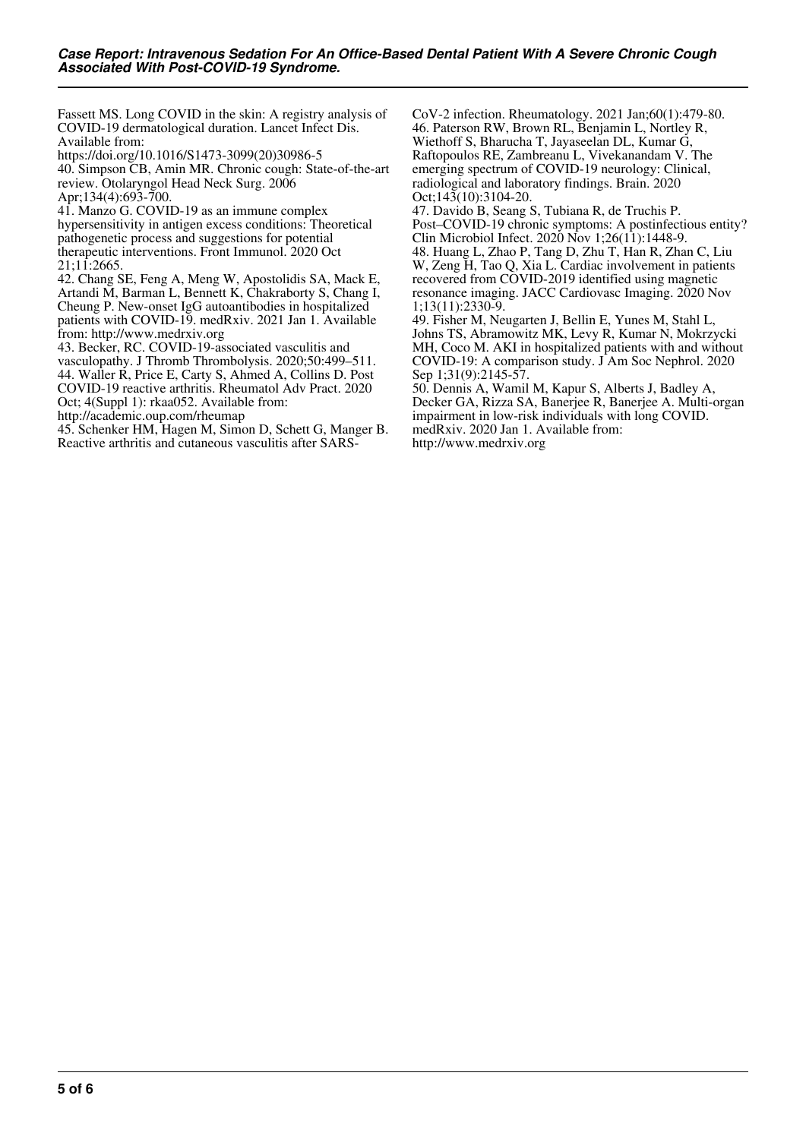Fassett MS. Long COVID in the skin: A registry analysis of COVID-19 dermatological duration. Lancet Infect Dis. Available from:

https://doi.org/10.1016/S1473-3099(20)30986-5 40. Simpson CB, Amin MR. Chronic cough: State-of-the-art review. Otolaryngol Head Neck Surg. 2006 Apr;134(4):693-700.

41. Manzo G. COVID-19 as an immune complex hypersensitivity in antigen excess conditions: Theoretical pathogenetic process and suggestions for potential therapeutic interventions. Front Immunol. 2020 Oct 21;11:2665.

42. Chang SE, Feng A, Meng W, Apostolidis SA, Mack E, Artandi M, Barman L, Bennett K, Chakraborty S, Chang I, Cheung P. New-onset IgG autoantibodies in hospitalized patients with COVID-19. medRxiv. 2021 Jan 1. Available from: http://www.medrxiv.org

43. Becker, RC. COVID-19-associated vasculitis and vasculopathy. J Thromb Thrombolysis. 2020;50:499–511. 44. Waller R, Price E, Carty S, Ahmed A, Collins D. Post COVID-19 reactive arthritis. Rheumatol Adv Pract. 2020 Oct; 4(Suppl 1): rkaa052. Available from:

http://academic.oup.com/rheumap

45. Schenker HM, Hagen M, Simon D, Schett G, Manger B. Reactive arthritis and cutaneous vasculitis after SARS-

CoV-2 infection. Rheumatology. 2021 Jan;60(1):479-80. 46. Paterson RW, Brown RL, Benjamin L, Nortley R, Wiethoff S, Bharucha T, Jayaseelan DL, Kumar G, Raftopoulos RE, Zambreanu L, Vivekanandam V. The emerging spectrum of COVID-19 neurology: Clinical, radiological and laboratory findings. Brain. 2020 Oct;143(10):3104-20.

47. Davido B, Seang S, Tubiana R, de Truchis P. Post–COVID-19 chronic symptoms: A postinfectious entity? Clin Microbiol Infect. 2020 Nov 1;26(11):1448-9. 48. Huang L, Zhao P, Tang D, Zhu T, Han R, Zhan C, Liu W, Zeng H, Tao Q, Xia L. Cardiac involvement in patients recovered from COVID-2019 identified using magnetic resonance imaging. JACC Cardiovasc Imaging. 2020 Nov 1;13(11):2330-9.

49. Fisher M, Neugarten J, Bellin E, Yunes M, Stahl L, Johns TS, Abramowitz MK, Levy R, Kumar N, Mokrzycki MH, Coco M. AKI in hospitalized patients with and without COVID-19: A comparison study. J Am Soc Nephrol. 2020 Sep 1;31(9):2145-57.

50. Dennis A, Wamil M, Kapur S, Alberts J, Badley A, Decker GA, Rizza SA, Banerjee R, Banerjee A. Multi-organ impairment in low-risk individuals with long COVID. medRxiv. 2020 Jan 1. Available from: http://www.medrxiv.org